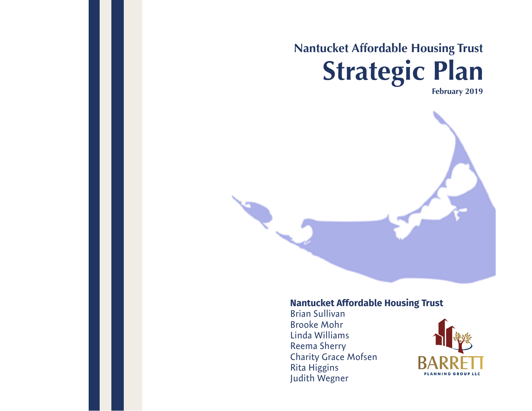## **Nantucket Affordable Housing Trust Strategic Plan February 2019**

**Nantucket Affordable Housing Trust**

Brian Sullivan Brooke Mohr Linda Williams Reema Sherry Charity Grace Mofsen Rita Higgins Judith Wegner

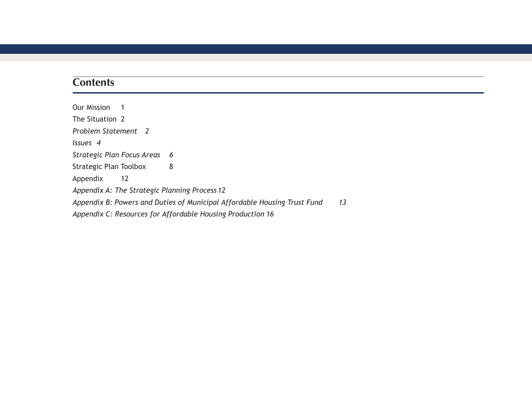## **Contents**

Our Mission 1 The Situation 2 *Problem Statement 2 Issues 4 Strategic Plan Focus Areas 6* Strategic Plan Toolbox 8 Appendix 12 *Appendix A: The Strategic Planning Process 12 Appendix B: Powers and Duties of Municipal Affordable Housing Trust Fund 13 Appendix C: Resources for Affordable Housing Production 16*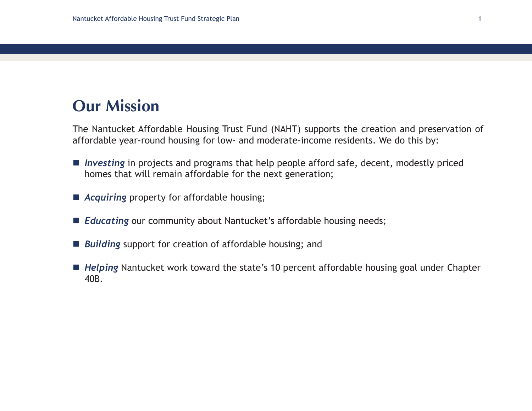## **Our Mission**

The Nantucket Affordable Housing Trust Fund (NAHT) supports the creation and preservation of affordable year-round housing for low- and moderate-income residents. We do this by:

- *Investing* in projects and programs that help people afford safe, decent, modestly priced homes that will remain affordable for the next generation;
- *Acquiring* property for affordable housing;
- **E** Educating our community about Nantucket's affordable housing needs;
- **Building** support for creation of affordable housing; and
- *Helping* Nantucket work toward the state's 10 percent affordable housing goal under Chapter 40B.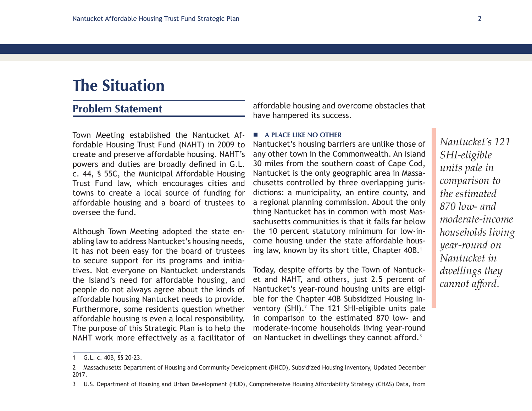## **The Situation**

### **Problem Statement**

Town Meeting established the Nantucket Affordable Housing Trust Fund (NAHT) in 2009 to create and preserve affordable housing. NAHT's powers and duties are broadly defined in G.L. c. 44, § 55C, the Municipal Affordable Housing Trust Fund law, which encourages cities and towns to create a local source of funding for affordable housing and a board of trustees to oversee the fund.

Although Town Meeting adopted the state enabling law to address Nantucket's housing needs, it has not been easy for the board of trustees to secure support for its programs and initiatives. Not everyone on Nantucket understands the island's need for affordable housing, and people do not always agree about the kinds of affordable housing Nantucket needs to provide. Furthermore, some residents question whether affordable housing is even a local responsibility. The purpose of this Strategic Plan is to help the NAHT work more effectively as a facilitator of

affordable housing and overcome obstacles that have hampered its success.

#### **A PLACE LIKE NO OTHER**

Nantucket's housing barriers are unlike those of any other town in the Commonwealth. An island 30 miles from the southern coast of Cape Cod, Nantucket is the only geographic area in Massachusetts controlled by three overlapping jurisdictions: a municipality, an entire county, and a regional planning commission. About the only thing Nantucket has in common with most Massachusetts communities is that it falls far below the 10 percent statutory minimum for low-income housing under the state affordable housing law, known by its short title, Chapter 40B.<sup>1</sup>

Today, despite efforts by the Town of Nantucket and NAHT, and others, just 2.5 percent of Nantucket's year-round housing units are eligible for the Chapter 40B Subsidized Housing Inventory  $(SHI).<sup>2</sup>$  The 121 SHI-eligible units pale in comparison to the estimated 870 low- and moderate-income households living year-round on Nantucket in dwellings they cannot afford.<sup>3</sup>

*Nantucket's 121 SHI-eligible units pale in comparison to the estimated 870 low- and moderate-income households living year-round on Nantucket in dwellings they cannot afford.*

<sup>1</sup> G.L. c. 40B, §§ 20-23.

<sup>2</sup> Massachusetts Department of Housing and Community Development (DHCD), Subsidized Housing Inventory, Updated December 2017.

<sup>3</sup> U.S. Department of Housing and Urban Development (HUD), Comprehensive Housing Affordability Strategy (CHAS) Data, from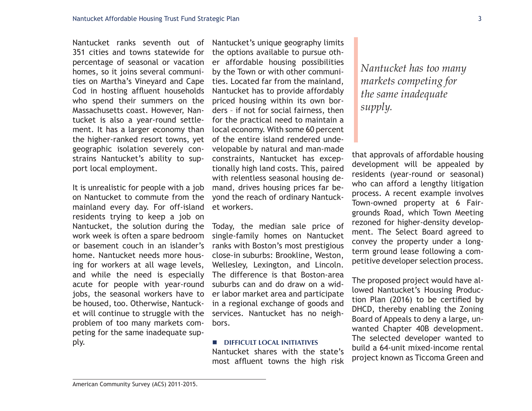Nantucket ranks seventh out of 351 cities and towns statewide for percentage of seasonal or vacation homes, so it joins several communities on Martha's Vineyard and Cape Cod in hosting affluent households who spend their summers on the Massachusetts coast. However, Nantucket is also a year-round settlement. It has a larger economy than the higher-ranked resort towns, yet geographic isolation severely constrains Nantucket's ability to support local employment.

It is unrealistic for people with a job on Nantucket to commute from the mainland every day. For off-island residents trying to keep a job on Nantucket, the solution during the work week is often a spare bedroom or basement couch in an islander's home. Nantucket needs more housing for workers at all wage levels, and while the need is especially acute for people with year-round jobs, the seasonal workers have to be housed, too. Otherwise, Nantucket will continue to struggle with the problem of too many markets competing for the same inadequate supply.

Nantucket's unique geography limits the options available to pursue other affordable housing possibilities by the Town or with other communities. Located far from the mainland, Nantucket has to provide affordably priced housing within its own borders – if not for social fairness, then for the practical need to maintain a local economy. With some 60 percent of the entire island rendered undevelopable by natural and man-made constraints, Nantucket has exceptionally high land costs. This, paired with relentless seasonal housing demand, drives housing prices far beyond the reach of ordinary Nantucket workers.

Today, the median sale price of single-family homes on Nantucket ranks with Boston's most prestigious close-in suburbs: Brookline, Weston, Wellesley, Lexington, and Lincoln. The difference is that Boston-area suburbs can and do draw on a wider labor market area and participate in a regional exchange of goods and services. Nantucket has no neighbors.

#### **DIFFICULT LOCAL INITIATIVES**

Nantucket shares with the state's most affluent towns the high risk *Nantucket has too many markets competing for the same inadequate supply.* 

that approvals of affordable housing development will be appealed by residents (year-round or seasonal) who can afford a lengthy litigation process. A recent example involves Town-owned property at 6 Fairgrounds Road, which Town Meeting rezoned for higher-density development. The Select Board agreed to convey the property under a longterm ground lease following a competitive developer selection process.

The proposed project would have allowed Nantucket's Housing Production Plan (2016) to be certified by DHCD, thereby enabling the Zoning Board of Appeals to deny a large, unwanted Chapter 40B development. The selected developer wanted to build a 64-unit mixed-income rental project known as Ticcoma Green and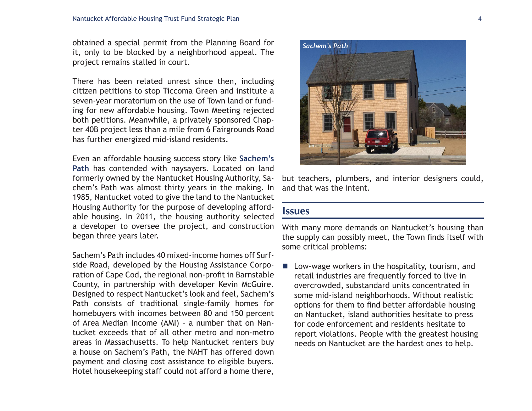obtained a special permit from the Planning Board for it, only to be blocked by a neighborhood appeal. The project remains stalled in court.

There has been related unrest since then, including citizen petitions to stop Ticcoma Green and institute a seven-year moratorium on the use of Town land or funding for new affordable housing. Town Meeting rejected both petitions. Meanwhile, a privately sponsored Chapter 40B project less than a mile from 6 Fairgrounds Road has further energized mid-island residents.

Even an affordable housing success story like **Sachem's Path** has contended with naysayers. Located on land formerly owned by the Nantucket Housing Authority, Sachem's Path was almost thirty years in the making. In 1985, Nantucket voted to give the land to the Nantucket Housing Authority for the purpose of developing affordable housing. In 2011, the housing authority selected a developer to oversee the project, and construction began three years later.

Sachem's Path includes 40 mixed-income homes off Surfside Road, developed by the Housing Assistance Corporation of Cape Cod, the regional non-profit in Barnstable County, in partnership with developer Kevin McGuire. Designed to respect Nantucket's look and feel, Sachem's Path consists of traditional single-family homes for homebuyers with incomes between 80 and 150 percent of Area Median Income (AMI) – a number that on Nantucket exceeds that of all other metro and non-metro areas in Massachusetts. To help Nantucket renters buy a house on Sachem's Path, the NAHT has offered down payment and closing cost assistance to eligible buyers. Hotel housekeeping staff could not afford a home there,



but teachers, plumbers, and interior designers could, and that was the intent.

#### **Issues**

With many more demands on Nantucket's housing than the supply can possibly meet, the Town finds itself with some critical problems:

 Low-wage workers in the hospitality, tourism, and retail industries are frequently forced to live in overcrowded, substandard units concentrated in some mid-island neighborhoods. Without realistic options for them to find better affordable housing on Nantucket, island authorities hesitate to press for code enforcement and residents hesitate to report violations. People with the greatest housing needs on Nantucket are the hardest ones to help.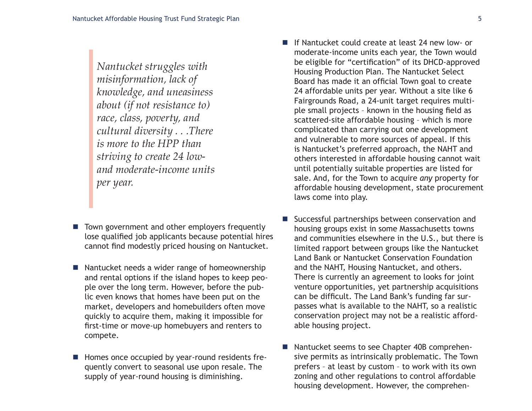*Nantucket struggles with misinformation, lack of knowledge, and uneasiness about (if not resistance to) race, class, poverty, and cultural diversity . . .There is more to the HPP than striving to create 24 lowand moderate-income units per year.* 

- Town government and other employers frequently lose qualified job applicants because potential hires cannot find modestly priced housing on Nantucket.
- Nantucket needs a wider range of homeownership and rental options if the island hopes to keep people over the long term. However, before the public even knows that homes have been put on the market, developers and homebuilders often move quickly to acquire them, making it impossible for first-time or move-up homebuyers and renters to compete.
- Homes once occupied by year-round residents frequently convert to seasonal use upon resale. The supply of year-round housing is diminishing.
- If Nantucket could create at least 24 new low- or moderate-income units each year, the Town would be eligible for "certification" of its DHCD-approved Housing Production Plan. The Nantucket Select Board has made it an official Town goal to create 24 affordable units per year. Without a site like 6 Fairgrounds Road, a 24-unit target requires multiple small projects – known in the housing field as scattered-site affordable housing – which is more complicated than carrying out one development and vulnerable to more sources of appeal. If this is Nantucket's preferred approach, the NAHT and others interested in affordable housing cannot wait until potentially suitable properties are listed for sale. And, for the Town to acquire *any* property for affordable housing development, state procurement laws come into play.
- Successful partnerships between conservation and housing groups exist in some Massachusetts towns and communities elsewhere in the U.S., but there is limited rapport between groups like the Nantucket Land Bank or Nantucket Conservation Foundation and the NAHT, Housing Nantucket, and others. There is currently an agreement to looks for joint venture opportunities, yet partnership acquisitions can be difficult. The Land Bank's funding far surpasses what is available to the NAHT, so a realistic conservation project may not be a realistic affordable housing project.
- Nantucket seems to see Chapter 40B comprehensive permits as intrinsically problematic. The Town prefers – at least by custom – to work with its own zoning and other regulations to control affordable housing development. However, the comprehen-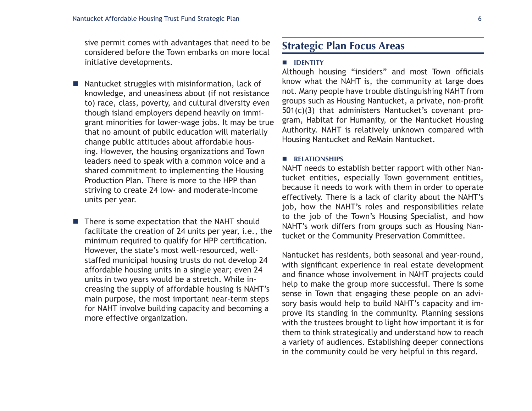sive permit comes with advantages that need to be considered before the Town embarks on more local initiative developments.

- Nantucket struggles with misinformation, lack of knowledge, and uneasiness about (if not resistance to) race, class, poverty, and cultural diversity even though island employers depend heavily on immigrant minorities for lower-wage jobs. It may be true that no amount of public education will materially change public attitudes about affordable housing. However, the housing organizations and Town leaders need to speak with a common voice and a shared commitment to implementing the Housing Production Plan. There is more to the HPP than striving to create 24 low- and moderate-income units per year.
- $\blacksquare$  There is some expectation that the NAHT should facilitate the creation of 24 units per year, i.e., the minimum required to qualify for HPP certification. However, the state's most well-resourced, wellstaffed municipal housing trusts do not develop 24 affordable housing units in a single year; even 24 units in two years would be a stretch. While increasing the supply of affordable housing is NAHT's main purpose, the most important near-term steps for NAHT involve building capacity and becoming a more effective organization.

### **Strategic Plan Focus Areas**

#### **IDENTITY**

Although housing "insiders" and most Town officials know what the NAHT is, the community at large does not. Many people have trouble distinguishing NAHT from groups such as Housing Nantucket, a private, non-profit 501(c)(3) that administers Nantucket's covenant program, Habitat for Humanity, or the Nantucket Housing Authority. NAHT is relatively unknown compared with Housing Nantucket and ReMain Nantucket.

#### **RELATIONSHIPS**

NAHT needs to establish better rapport with other Nantucket entities, especially Town government entities, because it needs to work with them in order to operate effectively. There is a lack of clarity about the NAHT's job, how the NAHT's roles and responsibilities relate to the job of the Town's Housing Specialist, and how NAHT's work differs from groups such as Housing Nantucket or the Community Preservation Committee.

Nantucket has residents, both seasonal and year-round, with significant experience in real estate development and finance whose involvement in NAHT projects could help to make the group more successful. There is some sense in Town that engaging these people on an advisory basis would help to build NAHT's capacity and improve its standing in the community. Planning sessions with the trustees brought to light how important it is for them to think strategically and understand how to reach a variety of audiences. Establishing deeper connections in the community could be very helpful in this regard.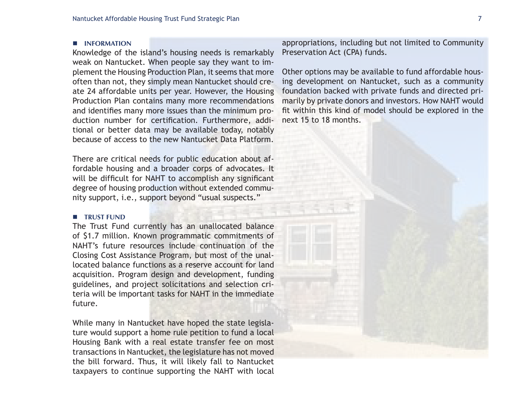#### **INFORMATION**

Knowledge of the island's housing needs is remarkably weak on Nantucket. When people say they want to implement the Housing Production Plan, it seems that more often than not, they simply mean Nantucket should create 24 affordable units per year. However, the Housing Production Plan contains many more recommendations and identifies many more issues than the minimum production number for certification. Furthermore, additional or better data may be available today, notably because of access to the new Nantucket Data Platform.

There are critical needs for public education about affordable housing and a broader corps of advocates. It will be difficult for NAHT to accomplish any significant degree of housing production without extended community support, i.e., support beyond "usual suspects."

#### **TRUST FUND**

The Trust Fund currently has an unallocated balance of \$1.7 million. Known programmatic commitments of NAHT's future resources include continuation of the Closing Cost Assistance Program, but most of the unallocated balance functions as a reserve account for land acquisition. Program design and development, funding guidelines, and project solicitations and selection criteria will be important tasks for NAHT in the immediate future.

While many in Nantucket have hoped the state legislature would support a home rule petition to fund a local Housing Bank with a real estate transfer fee on most transactions in Nantucket, the legislature has not moved the bill forward. Thus, it will likely fall to Nantucket taxpayers to continue supporting the NAHT with local appropriations, including but not limited to Community Preservation Act (CPA) funds.

Other options may be available to fund affordable housing development on Nantucket, such as a community foundation backed with private funds and directed primarily by private donors and investors. How NAHT would fit within this kind of model should be explored in the next 15 to 18 months.

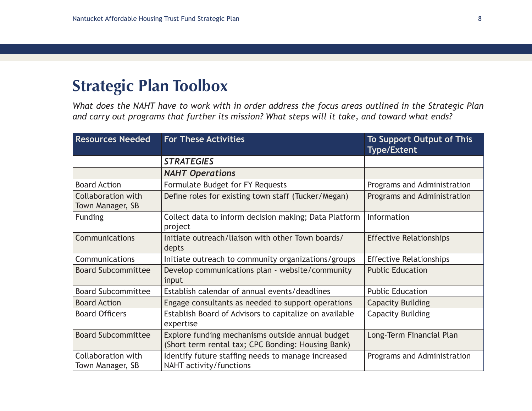## **Strategic Plan Toolbox**

*What does the NAHT have to work with in order address the focus areas outlined in the Strategic Plan and carry out programs that further its mission? What steps will it take, and toward what ends?*

| <b>Resources Needed</b>                       | <b>For These Activities</b>                                                                            | <b>To Support Output of This</b><br><b>Type/Extent</b> |
|-----------------------------------------------|--------------------------------------------------------------------------------------------------------|--------------------------------------------------------|
|                                               | <b>STRATEGIES</b>                                                                                      |                                                        |
|                                               | <b>NAHT Operations</b>                                                                                 |                                                        |
| <b>Board Action</b>                           | Formulate Budget for FY Requests                                                                       | Programs and Administration                            |
| <b>Collaboration with</b><br>Town Manager, SB | Define roles for existing town staff (Tucker/Megan)                                                    | Programs and Administration                            |
| <b>Funding</b>                                | Collect data to inform decision making; Data Platform<br>project                                       | Information                                            |
| Communications                                | Initiate outreach/liaison with other Town boards/<br>depts                                             | <b>Effective Relationships</b>                         |
| Communications                                | Initiate outreach to community organizations/groups                                                    | <b>Effective Relationships</b>                         |
| <b>Board Subcommittee</b>                     | Develop communications plan - website/community<br>input                                               | <b>Public Education</b>                                |
| <b>Board Subcommittee</b>                     | Establish calendar of annual events/deadlines                                                          | <b>Public Education</b>                                |
| <b>Board Action</b>                           | Engage consultants as needed to support operations                                                     | <b>Capacity Building</b>                               |
| <b>Board Officers</b>                         | Establish Board of Advisors to capitalize on available<br>expertise                                    | <b>Capacity Building</b>                               |
| <b>Board Subcommittee</b>                     | Explore funding mechanisms outside annual budget<br>(Short term rental tax; CPC Bonding: Housing Bank) | Long-Term Financial Plan                               |
| Collaboration with<br>Town Manager, SB        | Identify future staffing needs to manage increased<br>NAHT activity/functions                          | Programs and Administration                            |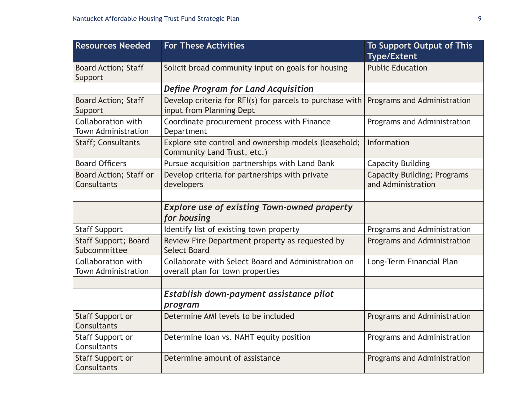| <b>Resources Needed</b>                          | <b>For These Activities</b>                                                             | <b>To Support Output of This</b><br><b>Type/Extent</b>   |
|--------------------------------------------------|-----------------------------------------------------------------------------------------|----------------------------------------------------------|
| <b>Board Action; Staff</b><br>Support            | Solicit broad community input on goals for housing                                      | <b>Public Education</b>                                  |
|                                                  | Define Program for Land Acquisition                                                     |                                                          |
| <b>Board Action; Staff</b><br>Support            | Develop criteria for RFI(s) for parcels to purchase with<br>input from Planning Dept    | Programs and Administration                              |
| Collaboration with<br><b>Town Administration</b> | Coordinate procurement process with Finance<br>Department                               | Programs and Administration                              |
| <b>Staff</b> ; Consultants                       | Explore site control and ownership models (leasehold;<br>Community Land Trust, etc.)    | Information                                              |
| <b>Board Officers</b>                            | Pursue acquisition partnerships with Land Bank                                          | <b>Capacity Building</b>                                 |
| <b>Board Action; Staff or</b><br>Consultants     | Develop criteria for partnerships with private<br>developers                            | <b>Capacity Building; Programs</b><br>and Administration |
|                                                  |                                                                                         |                                                          |
|                                                  | <b>Explore use of existing Town-owned property</b><br>for housing                       |                                                          |
| <b>Staff Support</b>                             | Identify list of existing town property                                                 | Programs and Administration                              |
| <b>Staff Support; Board</b><br>Subcommittee      | Review Fire Department property as requested by<br><b>Select Board</b>                  | Programs and Administration                              |
| Collaboration with<br><b>Town Administration</b> | Collaborate with Select Board and Administration on<br>overall plan for town properties | Long-Term Financial Plan                                 |
|                                                  |                                                                                         |                                                          |
|                                                  | Establish down-payment assistance pilot<br>program                                      |                                                          |
| Staff Support or<br>Consultants                  | Determine AMI levels to be included                                                     | Programs and Administration                              |
| Staff Support or<br>Consultants                  | Determine loan vs. NAHT equity position                                                 | Programs and Administration                              |
| <b>Staff Support or</b><br>Consultants           | Determine amount of assistance                                                          | Programs and Administration                              |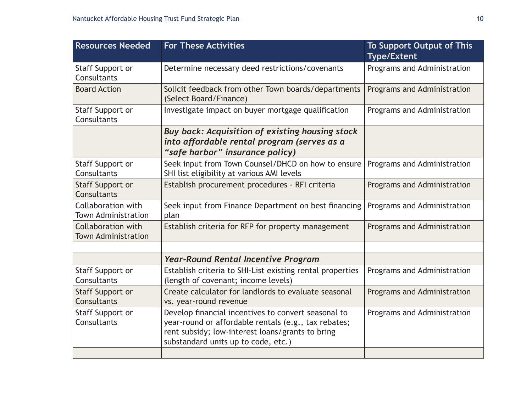| <b>Resources Needed</b>                          | <b>For These Activities</b>                                                                                                                                                                            | <b>To Support Output of This</b><br><b>Type/Extent</b> |
|--------------------------------------------------|--------------------------------------------------------------------------------------------------------------------------------------------------------------------------------------------------------|--------------------------------------------------------|
| Staff Support or<br>Consultants                  | Determine necessary deed restrictions/covenants                                                                                                                                                        | Programs and Administration                            |
| <b>Board Action</b>                              | Solicit feedback from other Town boards/departments<br>(Select Board/Finance)                                                                                                                          | Programs and Administration                            |
| Staff Support or<br>Consultants                  | Investigate impact on buyer mortgage qualification                                                                                                                                                     | Programs and Administration                            |
|                                                  | Buy back: Acquisition of existing housing stock<br>into affordable rental program (serves as a<br>"safe harbor" insurance policy)                                                                      |                                                        |
| Staff Support or<br>Consultants                  | Seek input from Town Counsel/DHCD on how to ensure<br>SHI list eligibility at various AMI levels                                                                                                       | Programs and Administration                            |
| Staff Support or<br>Consultants                  | Establish procurement procedures - RFI criteria                                                                                                                                                        | Programs and Administration                            |
| Collaboration with<br><b>Town Administration</b> | Seek input from Finance Department on best financing<br>plan                                                                                                                                           | Programs and Administration                            |
| Collaboration with<br><b>Town Administration</b> | Establish criteria for RFP for property management                                                                                                                                                     | Programs and Administration                            |
|                                                  |                                                                                                                                                                                                        |                                                        |
|                                                  | <b>Year-Round Rental Incentive Program</b>                                                                                                                                                             |                                                        |
| Staff Support or<br>Consultants                  | Establish criteria to SHI-List existing rental properties<br>(length of covenant; income levels)                                                                                                       | Programs and Administration                            |
| Staff Support or<br>Consultants                  | Create calculator for landlords to evaluate seasonal<br>vs. year-round revenue                                                                                                                         | Programs and Administration                            |
| Staff Support or<br>Consultants                  | Develop financial incentives to convert seasonal to<br>year-round or affordable rentals (e.g., tax rebates;<br>rent subsidy; low-interest loans/grants to bring<br>substandard units up to code, etc.) | Programs and Administration                            |
|                                                  |                                                                                                                                                                                                        |                                                        |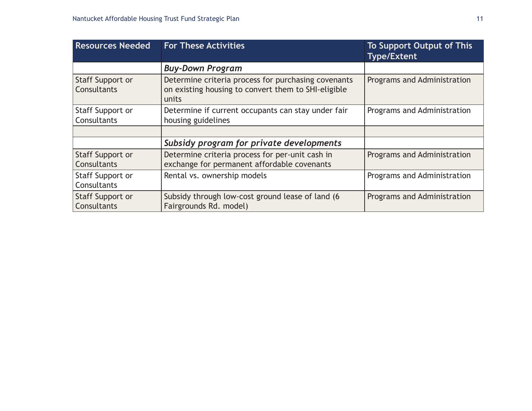| <b>Resources Needed</b>                | <b>For These Activities</b>                                                                                         | <b>To Support Output of This</b><br><b>Type/Extent</b> |
|----------------------------------------|---------------------------------------------------------------------------------------------------------------------|--------------------------------------------------------|
|                                        | <b>Buy-Down Program</b>                                                                                             |                                                        |
| Staff Support or<br>Consultants        | Determine criteria process for purchasing covenants<br>on existing housing to convert them to SHI-eligible<br>units | Programs and Administration                            |
| Staff Support or<br>Consultants        | Determine if current occupants can stay under fair<br>housing guidelines                                            | Programs and Administration                            |
|                                        |                                                                                                                     |                                                        |
|                                        | Subsidy program for private developments                                                                            |                                                        |
| <b>Staff Support or</b><br>Consultants | Determine criteria process for per-unit cash in<br>exchange for permanent affordable covenants                      | Programs and Administration                            |
| Staff Support or<br>Consultants        | Rental vs. ownership models                                                                                         | Programs and Administration                            |
| Staff Support or<br>Consultants        | Subsidy through low-cost ground lease of land (6<br>Fairgrounds Rd. model)                                          | Programs and Administration                            |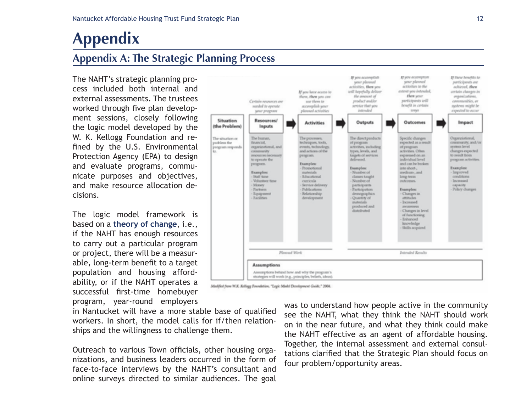# **Appendix**

## **Appendix A: The Strategic Planning Process**

The NAHT's strategic planning process included both internal and external assessments. The trustees worked through five plan development sessions, closely following the logic model developed by the W. K. Kellogg Foundation and refined by the U.S. Environmental Protection Agency (EPA) to design and evaluate programs, communicate purposes and objectives, and make resource allocation decisions.

The logic model framework is based on a **theory of change**, i.e., if the NAHT has enough resources to carry out a particular program or project, there will be a measurable, long-term benefit to a target population and housing affordability, or if the NAHT operates a successful first-time homebuyer program, year-round employers

If you accomplish И уон вссотрёзк If these benefits to your playeed your planned participants are activities to the activities, then you achieved, then If you later access to will hopefully deliver extent you intended, certain cluseges in then your them, then you can the amount of organizations, use them to product and/or Bira complicious communities, or Certain resources are bowellt in certain service that you systems might be mended to operate accomplish your expected to occur playeed activities intended treys your program Situation Resources/ **Activities** Outputs Outcomes Impact (the Problem) Inputs Specific changes The human. The processes, The direct products The situation or Organziational, expected as a result community, and/or financial. techniques, toda. pockless the of program program responds organizational, and events, technology activities, including of peogram sayaness lawed **CONSUMINATION** and actions of the types, levels, and activities, Other changes expected. resources net pergram. targets of services expensed on an to result from program activities to operate the delivered. Isvel lautividus and can be broken program. Examples: Examples:<br>- Number of Promotional into short-**Examples:** Examples: materials medium, and however. Staff time Educational classes taught conditions long-term Volunteer time Number of hummed. curricula . outcomes. Money Service delivery participants capacity - Pactners Publications. - Participation **Examples:** Policy changes Equipment Relationship demographics - Changes in Facilities development Quantity of attitudes. materials Increased produced and *ancasement* distributed. Changes in level of functioning Enhanced knowledge Skills acquired Plassad Work Intended Revalts **Assumptions** Assumptions behind how and why the program's strategies will work (e.g., principles, beliefs, ideas)

in Nantucket will have a more stable base of qualified workers. In short, the model calls for if/then relationships and the willingness to challenge them.

Outreach to various Town officials, other housing organizations, and business leaders occurred in the form of face-to-face interviews by the NAHT's consultant and online surveys directed to similar audiences. The goal was to understand how people active in the community see the NAHT, what they think the NAHT should work on in the near future, and what they think could make the NAHT effective as an agent of affordable housing. Together, the internal assessment and external consultations clarified that the Strategic Plan should focus on four problem/opportunity areas.

Modified from W.K. Kellagg Foundation, "Legic Model Development Guide," 2004.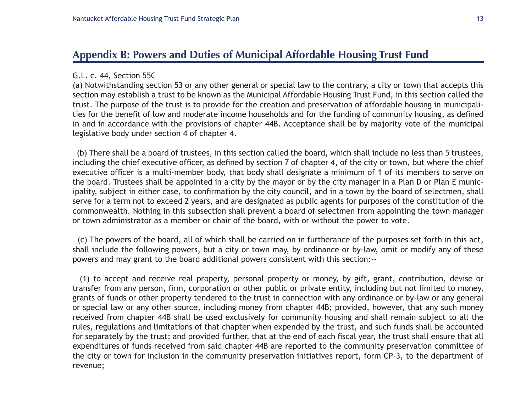### **Appendix B: Powers and Duties of Municipal Affordable Housing Trust Fund**

#### G.L. c. 44, Section 55C

(a) Notwithstanding section 53 or any other general or special law to the contrary, a city or town that accepts this section may establish a trust to be known as the Municipal Affordable Housing Trust Fund, in this section called the trust. The purpose of the trust is to provide for the creation and preservation of affordable housing in municipalities for the benefit of low and moderate income households and for the funding of community housing, as defined in and in accordance with the provisions of chapter 44B. Acceptance shall be by majority vote of the municipal legislative body under section 4 of chapter 4.

 (b) There shall be a board of trustees, in this section called the board, which shall include no less than 5 trustees, including the chief executive officer, as defined by section 7 of chapter 4, of the city or town, but where the chief executive officer is a multi-member body, that body shall designate a minimum of 1 of its members to serve on the board. Trustees shall be appointed in a city by the mayor or by the city manager in a Plan D or Plan E municipality, subject in either case, to confirmation by the city council, and in a town by the board of selectmen, shall serve for a term not to exceed 2 years, and are designated as public agents for purposes of the constitution of the commonwealth. Nothing in this subsection shall prevent a board of selectmen from appointing the town manager or town administrator as a member or chair of the board, with or without the power to vote.

 (c) The powers of the board, all of which shall be carried on in furtherance of the purposes set forth in this act, shall include the following powers, but a city or town may, by ordinance or by-law, omit or modify any of these powers and may grant to the board additional powers consistent with this section:--

 (1) to accept and receive real property, personal property or money, by gift, grant, contribution, devise or transfer from any person, firm, corporation or other public or private entity, including but not limited to money, grants of funds or other property tendered to the trust in connection with any ordinance or by-law or any general or special law or any other source, including money from chapter 44B; provided, however, that any such money received from chapter 44B shall be used exclusively for community housing and shall remain subject to all the rules, regulations and limitations of that chapter when expended by the trust, and such funds shall be accounted for separately by the trust; and provided further, that at the end of each fiscal year, the trust shall ensure that all expenditures of funds received from said chapter 44B are reported to the community preservation committee of the city or town for inclusion in the community preservation initiatives report, form CP-3, to the department of revenue;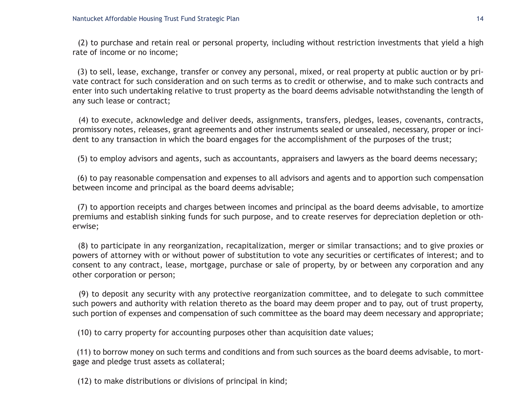(2) to purchase and retain real or personal property, including without restriction investments that yield a high rate of income or no income;

 (3) to sell, lease, exchange, transfer or convey any personal, mixed, or real property at public auction or by private contract for such consideration and on such terms as to credit or otherwise, and to make such contracts and enter into such undertaking relative to trust property as the board deems advisable notwithstanding the length of any such lease or contract;

 (4) to execute, acknowledge and deliver deeds, assignments, transfers, pledges, leases, covenants, contracts, promissory notes, releases, grant agreements and other instruments sealed or unsealed, necessary, proper or incident to any transaction in which the board engages for the accomplishment of the purposes of the trust;

(5) to employ advisors and agents, such as accountants, appraisers and lawyers as the board deems necessary;

 (6) to pay reasonable compensation and expenses to all advisors and agents and to apportion such compensation between income and principal as the board deems advisable;

 (7) to apportion receipts and charges between incomes and principal as the board deems advisable, to amortize premiums and establish sinking funds for such purpose, and to create reserves for depreciation depletion or otherwise;

 (8) to participate in any reorganization, recapitalization, merger or similar transactions; and to give proxies or powers of attorney with or without power of substitution to vote any securities or certificates of interest; and to consent to any contract, lease, mortgage, purchase or sale of property, by or between any corporation and any other corporation or person;

 (9) to deposit any security with any protective reorganization committee, and to delegate to such committee such powers and authority with relation thereto as the board may deem proper and to pay, out of trust property, such portion of expenses and compensation of such committee as the board may deem necessary and appropriate;

(10) to carry property for accounting purposes other than acquisition date values;

 (11) to borrow money on such terms and conditions and from such sources as the board deems advisable, to mortgage and pledge trust assets as collateral;

(12) to make distributions or divisions of principal in kind;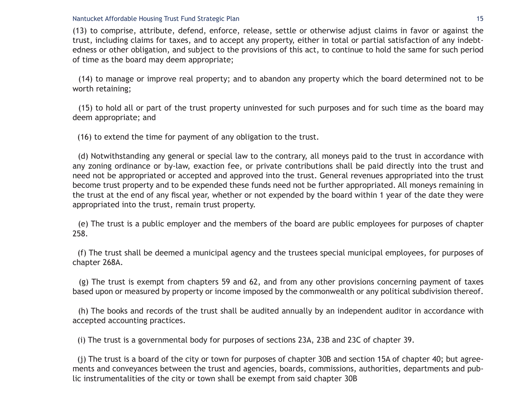#### Nantucket Affordable Housing Trust Fund Strategic Plan 15 and 15 and 15 and 15 and 15 and 15 and 15 and 15 and 15 and 15 and 15 and 15 and 15 and 15 and 15 and 15 and 15 and 15 and 15 and 15 and 16 and 16 and 16 and 16 and

(13) to comprise, attribute, defend, enforce, release, settle or otherwise adjust claims in favor or against the trust, including claims for taxes, and to accept any property, either in total or partial satisfaction of any indebtedness or other obligation, and subject to the provisions of this act, to continue to hold the same for such period of time as the board may deem appropriate;

 (14) to manage or improve real property; and to abandon any property which the board determined not to be worth retaining;

 (15) to hold all or part of the trust property uninvested for such purposes and for such time as the board may deem appropriate; and

(16) to extend the time for payment of any obligation to the trust.

 (d) Notwithstanding any general or special law to the contrary, all moneys paid to the trust in accordance with any zoning ordinance or by-law, exaction fee, or private contributions shall be paid directly into the trust and need not be appropriated or accepted and approved into the trust. General revenues appropriated into the trust become trust property and to be expended these funds need not be further appropriated. All moneys remaining in the trust at the end of any fiscal year, whether or not expended by the board within 1 year of the date they were appropriated into the trust, remain trust property.

 (e) The trust is a public employer and the members of the board are public employees for purposes of chapter 258.

 (f) The trust shall be deemed a municipal agency and the trustees special municipal employees, for purposes of chapter 268A.

 (g) The trust is exempt from chapters 59 and 62, and from any other provisions concerning payment of taxes based upon or measured by property or income imposed by the commonwealth or any political subdivision thereof.

 (h) The books and records of the trust shall be audited annually by an independent auditor in accordance with accepted accounting practices.

(i) The trust is a governmental body for purposes of sections 23A, 23B and 23C of chapter 39.

 (j) The trust is a board of the city or town for purposes of chapter 30B and section 15A of chapter 40; but agreements and conveyances between the trust and agencies, boards, commissions, authorities, departments and public instrumentalities of the city or town shall be exempt from said chapter 30B